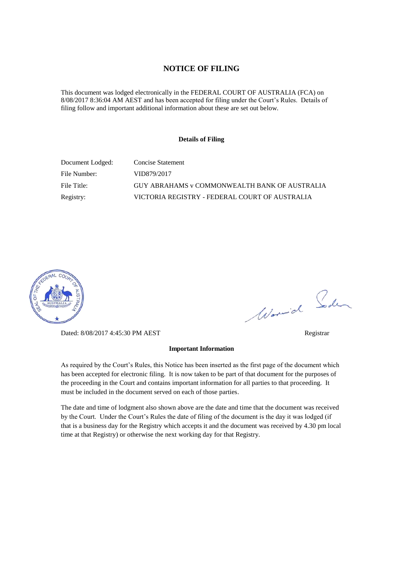#### **NOTICE OF FILING**

This document was lodged electronically in the FEDERAL COURT OF AUSTRALIA (FCA) on 8/08/2017 8:36:04 AM AEST and has been accepted for filing under the Court's Rules. Details of filing follow and important additional information about these are set out below.

#### **Details of Filing**

| Document Lodged: | Concise Statement                                    |
|------------------|------------------------------------------------------|
| File Number:     | VID879/2017                                          |
| File Title:      | <b>GUY ABRAHAMS v COMMONWEALTH BANK OF AUSTRALIA</b> |
| Registry:        | VICTORIA REGISTRY - FEDERAL COURT OF AUSTRALIA       |



Dated: 8/08/2017 4:45:30 PM AEST Registrar

# **Important Information**

As required by the Court's Rules, this Notice has been inserted as the first page of the document which has been accepted for electronic filing. It is now taken to be part of that document for the purposes of the proceeding in the Court and contains important information for all parties to that proceeding. It must be included in the document served on each of those parties.

The date and time of lodgment also shown above are the date and time that the document was received by the Court. Under the Court's Rules the date of filing of the document is the day it was lodged (if that is a business day for the Registry which accepts it and the document was received by 4.30 pm local time at that Registry) or otherwise the next working day for that Registry.

Worwich Soden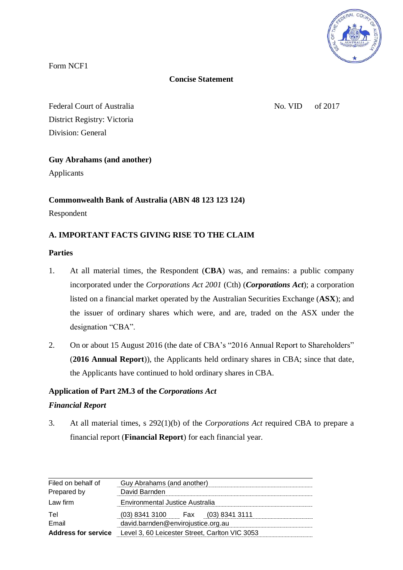

Form NCF1

# **Concise Statement**

Federal Court of Australia No. VID of 2017 District Registry: Victoria Division: General

# **Guy Abrahams (and another)**

Applicants

# **Commonwealth Bank of Australia (ABN 48 123 123 124)**

Respondent

# **A. IMPORTANT FACTS GIVING RISE TO THE CLAIM**

## **Parties**

- 1. At all material times, the Respondent (**CBA**) was, and remains: a public company incorporated under the *Corporations Act 2001* (Cth) (*Corporations Act*); a corporation listed on a financial market operated by the Australian Securities Exchange (**ASX**); and the issuer of ordinary shares which were, and are, traded on the ASX under the designation "CBA".
- 2. On or about 15 August 2016 (the date of CBA's "2016 Annual Report to Shareholders" (**2016 Annual Report**)), the Applicants held ordinary shares in CBA; since that date, the Applicants have continued to hold ordinary shares in CBA.

# **Application of Part 2M.3 of the** *Corporations Act*

## *Financial Report*

3. At all material times, s 292(1)(b) of the *Corporations Act* required CBA to prepare a financial report (**Financial Report**) for each financial year.

| Filed on behalf of         | Guy Abrahams (and another)                     |
|----------------------------|------------------------------------------------|
| Prepared by                | David Barnden                                  |
| Law firm                   | Environmental Justice Australia                |
| Tel                        | (03) 8341 3100 Fax (03) 8341 3111              |
| Email                      | david.barnden@envirojustice.org.au             |
| <b>Address for service</b> | Level 3, 60 Leicester Street, Carlton VIC 3053 |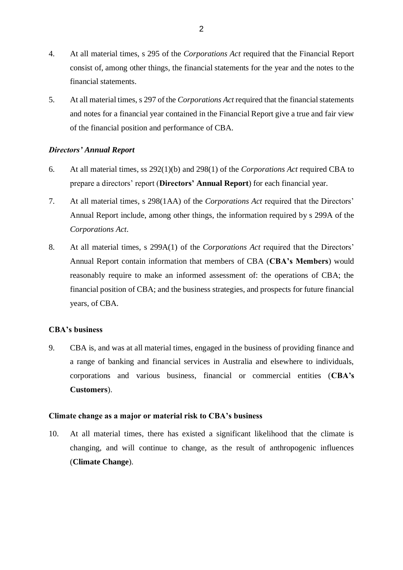- 4. At all material times, s 295 of the *Corporations Act* required that the Financial Report consist of, among other things, the financial statements for the year and the notes to the financial statements.
- 5. At all material times, s 297 of the *Corporations Act* required that the financial statements and notes for a financial year contained in the Financial Report give a true and fair view of the financial position and performance of CBA.

## *Directors' Annual Report*

- 6. At all material times, ss 292(1)(b) and 298(1) of the *Corporations Act* required CBA to prepare a directors' report (**Directors' Annual Report**) for each financial year.
- 7. At all material times, s 298(1AA) of the *Corporations Act* required that the Directors' Annual Report include, among other things, the information required by s 299A of the *Corporations Act*.
- 8. At all material times, s 299A(1) of the *Corporations Act* required that the Directors' Annual Report contain information that members of CBA (**CBA's Members**) would reasonably require to make an informed assessment of: the operations of CBA; the financial position of CBA; and the business strategies, and prospects for future financial years, of CBA.

## **CBA's business**

9. CBA is, and was at all material times, engaged in the business of providing finance and a range of banking and financial services in Australia and elsewhere to individuals, corporations and various business, financial or commercial entities (**CBA's Customers**).

#### **Climate change as a major or material risk to CBA's business**

10. At all material times, there has existed a significant likelihood that the climate is changing, and will continue to change, as the result of anthropogenic influences (**Climate Change**).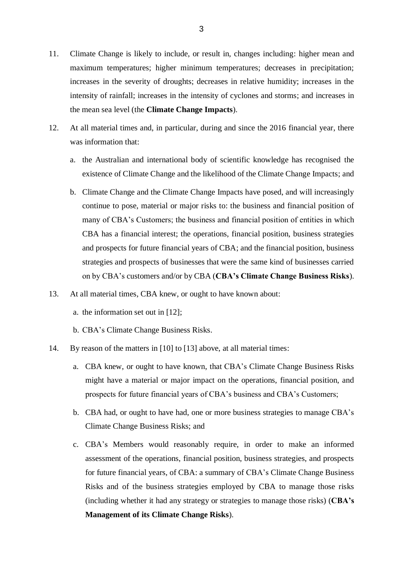- 11. Climate Change is likely to include, or result in, changes including: higher mean and maximum temperatures; higher minimum temperatures; decreases in precipitation; increases in the severity of droughts; decreases in relative humidity; increases in the intensity of rainfall; increases in the intensity of cyclones and storms; and increases in the mean sea level (the **Climate Change Impacts**).
- 12. At all material times and, in particular, during and since the 2016 financial year, there was information that:
	- a. the Australian and international body of scientific knowledge has recognised the existence of Climate Change and the likelihood of the Climate Change Impacts; and
	- b. Climate Change and the Climate Change Impacts have posed, and will increasingly continue to pose, material or major risks to: the business and financial position of many of CBA's Customers; the business and financial position of entities in which CBA has a financial interest; the operations, financial position, business strategies and prospects for future financial years of CBA; and the financial position, business strategies and prospects of businesses that were the same kind of businesses carried on by CBA's customers and/or by CBA (**CBA's Climate Change Business Risks**).
- 13. At all material times, CBA knew, or ought to have known about:
	- a. the information set out in [12];
	- b. CBA's Climate Change Business Risks.
- 14. By reason of the matters in [10] to [13] above, at all material times:
	- a. CBA knew, or ought to have known, that CBA's Climate Change Business Risks might have a material or major impact on the operations, financial position, and prospects for future financial years of CBA's business and CBA's Customers;
	- b. CBA had, or ought to have had, one or more business strategies to manage CBA's Climate Change Business Risks; and
	- c. CBA's Members would reasonably require, in order to make an informed assessment of the operations, financial position, business strategies, and prospects for future financial years, of CBA: a summary of CBA's Climate Change Business Risks and of the business strategies employed by CBA to manage those risks (including whether it had any strategy or strategies to manage those risks) (**CBA's Management of its Climate Change Risks**).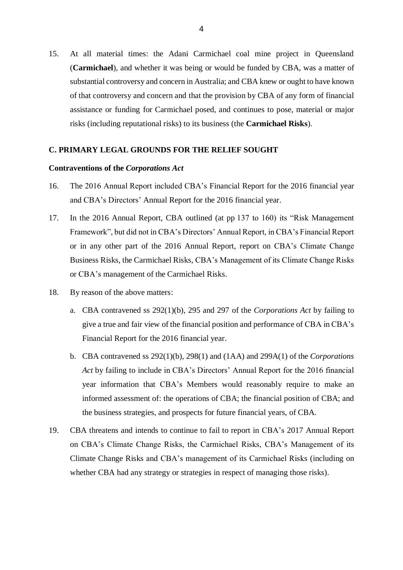15. At all material times: the Adani Carmichael coal mine project in Queensland (**Carmichael**), and whether it was being or would be funded by CBA, was a matter of substantial controversy and concern in Australia; and CBA knew or ought to have known of that controversy and concern and that the provision by CBA of any form of financial assistance or funding for Carmichael posed, and continues to pose, material or major risks (including reputational risks) to its business (the **Carmichael Risks**).

#### **C. PRIMARY LEGAL GROUNDS FOR THE RELIEF SOUGHT**

#### **Contraventions of the** *Corporations Act*

- 16. The 2016 Annual Report included CBA's Financial Report for the 2016 financial year and CBA's Directors' Annual Report for the 2016 financial year.
- 17. In the 2016 Annual Report, CBA outlined (at pp 137 to 160) its "Risk Management Framework", but did not in CBA's Directors' Annual Report, in CBA's Financial Report or in any other part of the 2016 Annual Report, report on CBA's Climate Change Business Risks, the Carmichael Risks, CBA's Management of its Climate Change Risks or CBA's management of the Carmichael Risks.
- 18. By reason of the above matters:
	- a. CBA contravened ss 292(1)(b), 295 and 297 of the *Corporations Act* by failing to give a true and fair view of the financial position and performance of CBA in CBA's Financial Report for the 2016 financial year.
	- b. CBA contravened ss 292(1)(b), 298(1) and (1AA) and 299A(1) of the *Corporations Act* by failing to include in CBA's Directors' Annual Report for the 2016 financial year information that CBA's Members would reasonably require to make an informed assessment of: the operations of CBA; the financial position of CBA; and the business strategies, and prospects for future financial years, of CBA.
- 19. CBA threatens and intends to continue to fail to report in CBA's 2017 Annual Report on CBA's Climate Change Risks, the Carmichael Risks, CBA's Management of its Climate Change Risks and CBA's management of its Carmichael Risks (including on whether CBA had any strategy or strategies in respect of managing those risks).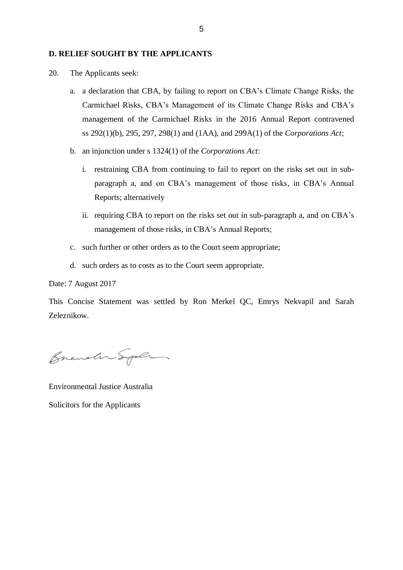#### **D. RELIEF SOUGHT BY THE APPLICANTS**

- 20. The Applicants seek:
	- a. a declaration that CBA, by failing to report on CBA's Climate Change Risks, the Carmichael Risks, CBA's Management of its Climate Change Risks and CBA's management of the Carmichael Risks in the 2016 Annual Report contravened ss 292(1)(b), 295, 297, 298(1) and (1AA), and 299A(1) of the *Corporations Act*;
	- b. an injunction under s 1324(1) of the *Corporations Act*:
		- i. restraining CBA from continuing to fail to report on the risks set out in subparagraph a, and on CBA's management of those risks, in CBA's Annual Reports; alternatively
		- ii. requiring CBA to report on the risks set out in sub-paragraph a, and on CBA's management of those risks, in CBA's Annual Reports;
	- c. such further or other orders as to the Court seem appropriate;
	- d. such orders as to costs as to the Court seem appropriate.

Date: 7 August 2017

This Concise Statement was settled by Ron Merkel QC, Emrys Nekvapil and Sarah Zeleznikow.

Brender Syle

Environmental Justice Australia Solicitors for the Applicants